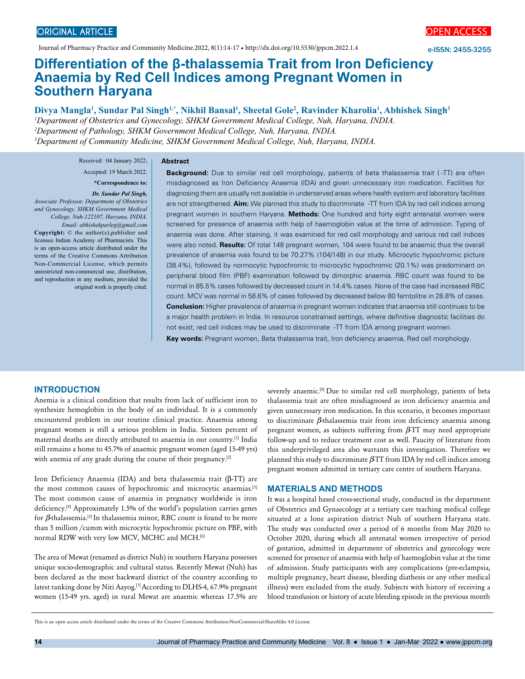Journal of Pharmacy Practice and Community Medicine.2022, 8(1):14-17 • http://dx.doi.org/10.5530/jppcm.2022.1.4

**Abstract**



e-ISSN: 2455-3255

# **Differentiation of the β-thalassemia Trait from Iron Deficiency Anaemia by Red Cell Indices among Pregnant Women in Southern Haryana**

Divya Mangla<sup>1</sup>, Sundar Pal Singh<sup>1,\*</sup>, Nikhil Bansal<sup>1</sup>, Sheetal Gole<sup>2</sup>, Ravinder Kharolia<sup>1</sup>, Abhishek Singh<sup>3</sup> *Department of Obstetrics and Gynecology, SHKM Government Medical College, Nuh, Haryana, INDIA. Department of Pathology, SHKM Government Medical College, Nuh, Haryana, INDIA. Department of Community Medicine, SHKM Government Medical College, Nuh, Haryana, INDIA.*

Received: 04 January 2022;

Accepted: 19 March 2022.

# **\*Correspondence to:**

*Dr. Sundar Pal Singh, Associate Professor, Department of Obstetrics and Gynecology, SHKM Government Medical College, Nuh-122107, Haryana, INDIA. Email: abhishekparleg@gmail.com*

**Copyright:** © the author(s),publisher and licensee Indian Academy of Pharmacists. This is an open-access article distributed under the terms of the Creative Commons Attribution Non-Commercial License, which permits unrestricted non-commercial use, distribution, and reproduction in any medium, provided the original work is properly cited.

**Background:** Due to similar red cell morphology, patients of beta thalassemia trait ( -TT) are often misdiagnosed as Iron Deficiency Anaemia (IDA) and given unnecessary iron medication. Facilities for diagnosing them are usually not available in underserved areas where health system and laboratory facilities are not strengthened. **Aim:** We planned this study to discriminate -TT from IDA by red cell indices among pregnant women in southern Haryana. **Methods:** One hundred and forty eight antenatal women were screened for presence of anaemia with help of haemoglobin value at the time of admission. Typing of anaemia was done. After staining, it was examined for red cell morphology and various red cell indices were also noted. **Results:** Of total 148 pregnant women, 104 were found to be anaemic thus the overall prevalence of anaemia was found to be 70.27% (104/148) in our study. Microcytic hypochromic picture (38.4%), followed by normocytic hypochromic to microcytic hypochromic (20.1%) was predominant on peripheral blood film (PBF) examination followed by dimorphic anaemia. RBC count was found to be normal in 85.5% cases followed by decreased count in 14.4% cases. None of the case had increased RBC count. MCV was normal in 58.6% of cases followed by decreased below 80 femtolitre in 28.8% of cases. **Conclusion:** Higher prevalence of anaemia in pregnant women indicates that anaemia still continues to be a major health problem in India. In resource constrained settings, where definitive diagnostic facilities do not exist; red cell indices may be used to discriminate -TT from IDA among pregnant women.

**Key words:** Pregnant women, Beta thalassemia trait, Iron deficiency anaemia, Red cell morphology.

#### **INTRODUCTION**

Anemia is a clinical condition that results from lack of sufficient iron to synthesize hemoglobin in the body of an individual. It is a commonly encountered problem in our routine clinical practice. Anaemia among pregnant women is still a serious problem in India. Sixteen percent of maternal deaths are directly attributed to anaemia in our country.[1] India still remains a home to 45.7% of anaemic pregnant women (aged 15-49 yrs) with anemia of any grade during the course of their pregnancy.<sup>[2]</sup>

Iron Deficiency Anaemia (IDA) and beta thalassemia trait (β-TT) are the most common causes of hypochromic and microcytic anaemias.[3] The most common cause of anaemia in pregnancy worldwide is iron deficiency.<sup>[4]</sup> Approximately 1.5% of the world's population carries genes for  $\beta$ thalassemia.<sup>[5]</sup> In thalassemia minor, RBC count is found to be more than 5 million /cumm with microcytic hypochromic picture on PBF, with normal RDW with very low MCV, MCHC and MCH.[6]

The area of Mewat (renamed as district Nuh) in southern Haryana possesses unique socio-demographic and cultural status. Recently Mewat (Nuh) has been declared as the most backward district of the country according to latest ranking done by Niti Aayog.<sup>[7]</sup> According to DLHS-4, 67.9% pregnant women (15-49 yrs. aged) in rural Mewat are anaemic whereas 17.5% are

severely anaemic.<sup>[8]</sup> Due to similar red cell morphology, patients of beta thalassemia trait are often misdiagnosed as iron deficiency anaemia and given unnecessary iron medication. In this scenario, it becomes important to discriminate  $\beta$ thalassemia trait from iron deficiency anaemia among pregnant women, as subjects suffering from  $\beta$ TT may need appropriate follow-up and to reduce treatment cost as well. Paucity of literature from this underprivileged area also warrants this investigation. Therefore we planned this study to discriminate  $\beta$ TT from IDA by red cell indices among pregnant women admitted in tertiary care centre of southern Haryana.

#### **MATERIALS AND METHODS**

It was a hospital based cross-sectional study, conducted in the department of Obstetrics and Gynaecology at a tertiary care teaching medical college situated at a lone aspiration district Nuh of southern Haryana state. The study was conducted over a period of 6 months from May 2020 to October 2020, during which all antenatal women irrespective of period of gestation, admitted in department of obstetrics and gynecology were screened for presence of anaemia with help of haemoglobin value at the time of admission. Study participants with any complications (pre-eclampsia, multiple pregnancy, heart disease, bleeding diathesis or any other medical illness) were excluded from the study. Subjects with history of receiving a blood transfusion or history of acute bleeding episode in the previous month

This is an open access article distributed under the terms of the Creative Commons Attribution-NonCommercial-ShareAlike 4.0 License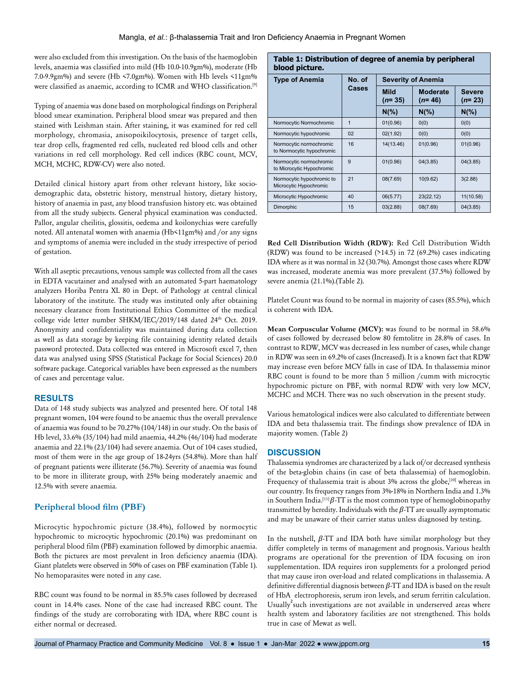were also excluded from this investigation. On the basis of the haemoglobin levels, anaemia was classified into mild (Hb 10.0-10.9gm%), moderate (Hb 7.0-9.9gm%) and severe (Hb <7.0gm%). Women with Hb levels <11gm% were classified as anaemic, according to ICMR and WHO classification.[9]

Typing of anaemia was done based on morphological findings on Peripheral blood smear examination. Peripheral blood smear was prepared and then stained with Leishman stain. After staining, it was examined for red cell morphology, chromasia, anisopoikilocytosis, presence of target cells, tear drop cells, fragmented red cells, nucleated red blood cells and other variations in red cell morphology. Red cell indices (RBC count, MCV, MCH, MCHC, RDW-CV) were also noted.

Detailed clinical history apart from other relevant history, like sociodemographic data, obstetric history, menstrual history, dietary history, history of anaemia in past, any blood transfusion history etc. was obtained from all the study subjects. General physical examination was conducted. Pallor, angular cheilitis, glossitis, oedema and koilonychias were carefully noted. All antenatal women with anaemia (Hb<11gm%) and /or any signs and symptoms of anemia were included in the study irrespective of period of gestation.

With all aseptic precautions, venous sample was collected from all the cases in EDTA vacutainer and analysed with an automated 5-part haematology analyzers Horiba Pentra XL 80 in Dept. of Pathology at central clinical laboratory of the institute. The study was instituted only after obtaining necessary clearance from Institutional Ethics Committee of the medical college vide letter number SHKM/IEC/2019/148 dated 24<sup>th</sup> Oct. 2019. Anonymity and confidentiality was maintained during data collection as well as data storage by keeping file containing identity related details password protected. Data collected was entered in Microsoft excel 7, then data was analysed using SPSS (Statistical Package for Social Sciences) 20.0 software package. Categorical variables have been expressed as the numbers of cases and percentage value.

# **RESULTS**

Data of 148 study subjects was analyzed and presented here. Of total 148 pregnant women, 104 were found to be anaemic thus the overall prevalence of anaemia was found to be 70.27% (104/148) in our study. On the basis of Hb level, 33.6% (35/104) had mild anaemia, 44.2% (46/104) had moderate anaemia and 22.1% (23/104) had severe anaemia. Out of 104 cases studied, most of them were in the age group of 18-24yrs (54.8%). More than half of pregnant patients were illiterate (56.7%). Severity of anaemia was found to be more in illiterate group, with 25% being moderately anaemic and 12.5% with severe anaemia.

# **Peripheral blood film (PBF)**

Microcytic hypochromic picture (38.4%), followed by normocytic hypochromic to microcytic hypochromic (20.1%) was predominant on peripheral blood film (PBF) examination followed by dimorphic anaemia. Both the pictures are most prevalent in Iron deficiency anaemia (IDA). Giant platelets were observed in 50% of cases on PBF examination (Table 1). No hemoparasites were noted in any case.

RBC count was found to be normal in 85.5% cases followed by decreased count in 14.4% cases. None of the case had increased RBC count. The findings of the study are corroborating with IDA, where RBC count is either normal or decreased.

#### **Table 1: Distribution of degree of anemia by peripheral blood picture.**

| p                                                    |                 |                           |                      |                           |  |  |
|------------------------------------------------------|-----------------|---------------------------|----------------------|---------------------------|--|--|
| <b>Type of Anemia</b>                                | No. of<br>Cases | <b>Severity of Anemia</b> |                      |                           |  |  |
|                                                      |                 | <b>Mild</b><br>$(n=35)$   | Moderate<br>$(n=46)$ | <b>Severe</b><br>$(n=23)$ |  |  |
|                                                      |                 | $N(\% )$                  | $N(\% )$             | $N\frac{6}{6}$            |  |  |
| Normocytic Normochromic                              | $\mathbf{1}$    | 01(0.96)                  | 0(0)                 | 0(0)                      |  |  |
| Normocytic hypochromic                               | 02              | 02(1.92)                  | 0(0)                 | 0(0)                      |  |  |
| Normocytic normochromic<br>to Normocytic hypochromic | 16              | 14(13.46)                 | 01(0.96)             | 01(0.96)                  |  |  |
| Normocytic normochromic<br>to Microcytic Hypochromic | 9               | 01(0.96)                  | 04(3.85)             | 04(3.85)                  |  |  |
| Normocytic hypochromic to<br>Microcytic Hypochromic  | 21              | 08(7.69)                  | 10(9.62)             | 3(2.88)                   |  |  |
| Microcytic Hypochromic                               | 40              | 06(5.77)                  | 23(22.12)            | 11(10.58)                 |  |  |
| Dimorphic                                            | 15              | 03(2.88)                  | 08(7.69)             | 04(3.85)                  |  |  |

**Red Cell Distribution Width (RDW):** Red Cell Distribution Width (RDW) was found to be increased  $(214.5)$  in 72 (69.2%) cases indicating IDA where as it was normal in 32 (30.7%). Amongst those cases where RDW was increased, moderate anemia was more prevalent (37.5%) followed by severe anemia (21.1%).(Table 2).

Platelet Count was found to be normal in majority of cases (85.5%), which is coherent with IDA.

**Mean Corpuscular Volume (MCV):** was found to be normal in 58.6% of cases followed by decreased below 80 femtolitre in 28.8% of cases. In contrast to RDW, MCV was decreased in less number of cases, while change in RDW was seen in 69.2% of cases (Increased). It is a known fact that RDW may increase even before MCV falls in case of IDA. In thalassemia minor RBC count is found to be more than 5 million /cumm with microcytic hypochromic picture on PBF, with normal RDW with very low MCV, MCHC and MCH. There was no such observation in the present study.

Various hematological indices were also calculated to differentiate between IDA and beta thalassemia trait. The findings show prevalence of IDA in majority women. (Table 2)

# **DISCUSSION**

Thalassemia syndromes are characterized by a lack of/or decreased synthesis of the beta-globin chains (in case of beta thalassemia) of haemoglobin. Frequency of thalassemia trait is about 3% across the globe,<sup>[10]</sup> whereas in our country. Its frequency ranges from 3%-18% in Northern India and 1.3% in Southern India.<sup>[11]</sup>  $\beta$ -TT is the most common type of hemoglobinopathy transmitted by heredity. Individuals with the  $\beta$ -TT are usually asymptomatic and may be unaware of their carrier status unless diagnosed by testing.

In the nutshell,  $\beta$ -TT and IDA both have similar morphology but they differ completely in terms of management and prognosis. Various health programs are operational for the prevention of IDA focusing on iron supplementation. IDA requires iron supplements for a prolonged period that may cause iron over-load and related complications in thalassemia. A definitive differential diagnosis between  $\beta$ -TT and IDA is based on the result of HbA electrophoresis, serum iron levels, and serum ferritin calculation. Usually<sup>2</sup> such investigations are not available in underserved areas where health system and laboratory facilities are not strengthened. This holds true in case of Mewat as well.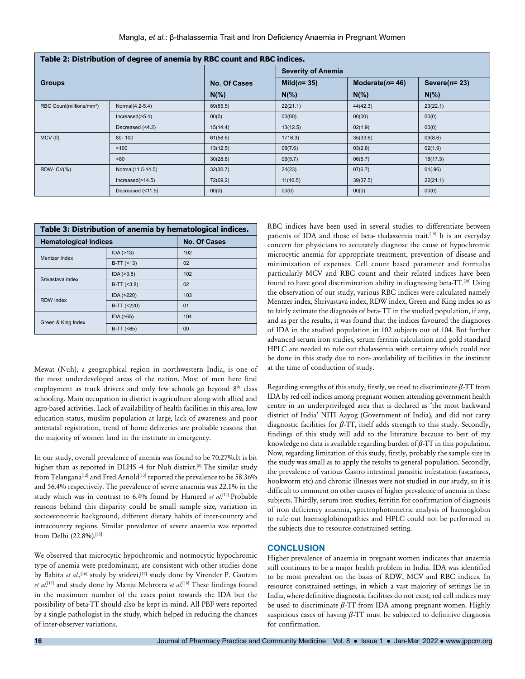| Table 2: Distribution of degree of anemia by RBC count and RBC indices. |                      |              |                           |                    |                  |  |
|-------------------------------------------------------------------------|----------------------|--------------|---------------------------|--------------------|------------------|--|
| <b>Groups</b>                                                           |                      |              | <b>Severity of Anemia</b> |                    |                  |  |
|                                                                         |                      | No. Of Cases | Mild $(n=35)$             | Moderate( $n=46$ ) | Severe( $n=23$ ) |  |
|                                                                         |                      | $N(\% )$     | $N(\%)$                   | $N(\%)$            | $N(\%)$          |  |
| RBC Count(millions/mm <sup>3</sup> )                                    | Normal(4.2-5.4)      | 89(85.5)     | 22(21.1)                  | 44(42.3)           | 23(22.1)         |  |
|                                                                         | $Increase(>=5.4)$    | 00(0)        | 00(00)                    | 00(00)             | 00(0)            |  |
|                                                                         | Decreased (<4.2)     | 15(14.4)     | 13(12.5)                  | 02(1.9)            | 00(0)            |  |
| MCV(f)                                                                  | 80-100               | 61(58.6)     | 1716.3                    | 35(33.6)           | 09(8.6)          |  |
|                                                                         | >100                 | 13(12.5)     | 08(7.6)                   | 03(2.8)            | 02(1.9)          |  |
|                                                                         | ~50                  | 30(28.8)     | 06(5.7)                   | 06(5.7)            | 18(17.3)         |  |
| RDW-CV(%)                                                               | Normal(11.5-14.5)    | 32(30.7)     | 24(23)                    | 07(6.7)            | 01(.96)          |  |
|                                                                         | $Increase$ $(>14.5)$ | 72(69.2)     | 11(10.5)                  | 39(37.5)           | 22(21.1)         |  |
|                                                                         | Decreased (<11.5)    | 00(0)        | 00(0)                     | 00(0)              | 00(0)            |  |

| Table 3: Distribution of anemia by hematological indices. |               |                     |  |  |  |
|-----------------------------------------------------------|---------------|---------------------|--|--|--|
| <b>Hematological Indices</b>                              |               | <b>No. Of Cases</b> |  |  |  |
| Mentzer Index                                             | IDA(>13)      | 102                 |  |  |  |
|                                                           | $B-TT$ (<13)  | 02                  |  |  |  |
| Srivastava Index                                          | IDA ( > 3.8)  | 102                 |  |  |  |
|                                                           | $B-TT$ (<3.8) | 02                  |  |  |  |
| <b>RDW</b> Index                                          | IDA (>220)    | 103                 |  |  |  |
|                                                           | $B-TT$ (<220) | 01                  |  |  |  |
| Green & King Index                                        | IDA( >65)     | 104                 |  |  |  |
|                                                           | $B-TT$ (<65)  | 0 <sub>0</sub>      |  |  |  |

Mewat (Nuh), a geographical region in northwestern India, is one of the most underdeveloped areas of the nation. Most of men here find employment as truck drivers and only few schools go beyond 8<sup>th</sup> class schooling. Main occupation in district is agriculture along with allied and agro-based activities. Lack of availability of health facilities in this area, low education status, muslim population at large, lack of awareness and poor antenatal registration, trend of home deliveries are probable reasons that the majority of women land in the institute in emergency.

In our study, overall prevalence of anemia was found to be 70.27%.It is bit higher than as reported in DLHS -4 for Nuh district.<sup>[8]</sup> The similar study from Telangana<sup>[12]</sup> and Fred Arnold<sup>[13]</sup> reported the prevalence to be 58.36% and 56.4% respectively. The prevalence of severe anaemia was 22.1% in the study which was in contrast to 6.4% found by Hameed *et al*. [14] Probable reasons behind this disparity could be small sample size, variation in socioeconomic background, different dietary habits of inter-country and intracountry regions. Similar prevalence of severe anaemia was reported from Delhi (22.8%).[15]

We observed that microcytic hypochromic and normocytic hypochromic type of anemia were predominant, are consistent with other studies done by Babita et al.,<sup>[16]</sup> study by sridevi,<sup>[17]</sup> study done by Virender P. Gautam *et al*. [15] and study done by Manju Mehrotra *et al*. [18] These findings found in the maximum number of the cases point towards the IDA but the possibility of beta-TT should also be kept in mind. All PBF were reported by a single pathologist in the study, which helped in reducing the chances of inter-observer variations.

RBC indices have been used in several studies to differentiate between patients of IDA and those of beta- thalassemia trait.<sup>[19]</sup> It is an everyday concern for physicians to accurately diagnose the cause of hypochromic microcytic anemia for appropriate treatment, prevention of disease and minimization of expenses. Cell count based parameter and formulas particularly MCV and RBC count and their related indices have been found to have good discrimination ability in diagnosing beta-TT.[20] Using the observation of our study, various RBC indices were calculated namely Mentzer index, Shrivastava index, RDW index, Green and King index so as to fairly estimate the diagnosis of beta- TT in the studied population, if any, and as per the results, it was found that the indices favoured the diagnoses of IDA in the studied population in 102 subjects out of 104. But further advanced serum iron studies, serum ferritin calculation and gold standard HPLC are needed to rule out thalassemia with certainty which could not be done in this study due to non- availability of facilities in the institute at the time of conduction of study.

Regarding strengths of this study, firstly, we tried to discriminate  $\beta$ -TT from IDA by red cell indices among pregnant women attending government health centre in an underprivileged area that is declared as 'the most backward district of India' NITI Aayog (Government of India), and did not carry diagnostic facilities for  $\beta$ -TT, itself adds strength to this study. Secondly, findings of this study will add to the literature because to best of my knowledge no data is available regarding burden of  $\beta$ -TT in this population. Now, regarding limitation of this study, firstly, probably the sample size in the study was small as to apply the results to general population. Secondly, the prevalence of various Gastro intestinal parasitic infestation (ascariasis, hookworm etc) and chronic illnesses were not studied in our study, so it is difficult to comment on other causes of higher prevalence of anemia in these subjects. Thirdly, serum iron studies, ferritin for confirmation of diagnosis of iron deficiency anaemia, spectrophotometric analysis of haemoglobin to rule out haemoglobinopathies and HPLC could not be performed in the subjects due to resource constrained setting.

#### **CONCLUSION**

Higher prevalence of anaemia in pregnant women indicates that anaemia still continues to be a major health problem in India. IDA was identified to be most prevalent on the basis of RDW, MCV and RBC indices. In resource constrained settings, in which a vast majority of settings lie in India, where definitive diagnostic facilities do not exist, red cell indices may be used to discriminate  $\beta$ -TT from IDA among pregnant women. Highly suspicious cases of having  $\beta$ -TT must be subjected to definitive diagnosis for confirmation.